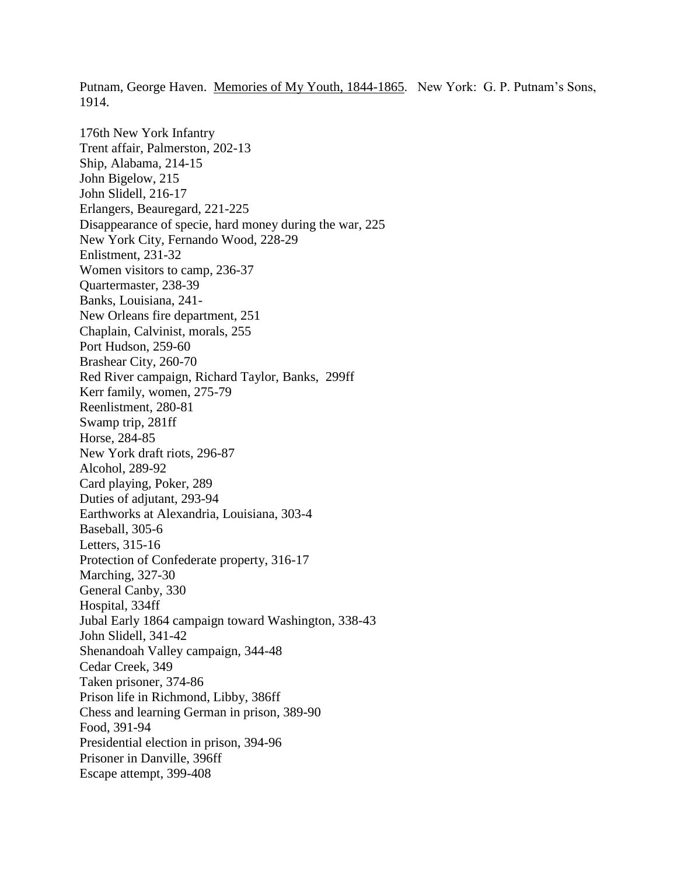Putnam, George Haven. Memories of My Youth, 1844-1865. New York: G. P. Putnam's Sons, 1914.

176th New York Infantry Trent affair, Palmerston, 202-13 Ship, Alabama, 214-15 John Bigelow, 215 John Slidell, 216-17 Erlangers, Beauregard, 221-225 Disappearance of specie, hard money during the war, 225 New York City, Fernando Wood, 228-29 Enlistment, 231-32 Women visitors to camp, 236-37 Quartermaster, 238-39 Banks, Louisiana, 241- New Orleans fire department, 251 Chaplain, Calvinist, morals, 255 Port Hudson, 259-60 Brashear City, 260-70 Red River campaign, Richard Taylor, Banks, 299ff Kerr family, women, 275-79 Reenlistment, 280-81 Swamp trip, 281ff Horse, 284-85 New York draft riots, 296-87 Alcohol, 289-92 Card playing, Poker, 289 Duties of adjutant, 293-94 Earthworks at Alexandria, Louisiana, 303-4 Baseball, 305-6 Letters, 315-16 Protection of Confederate property, 316-17 Marching, 327-30 General Canby, 330 Hospital, 334ff Jubal Early 1864 campaign toward Washington, 338-43 John Slidell, 341-42 Shenandoah Valley campaign, 344-48 Cedar Creek, 349 Taken prisoner, 374-86 Prison life in Richmond, Libby, 386ff Chess and learning German in prison, 389-90 Food, 391-94 Presidential election in prison, 394-96 Prisoner in Danville, 396ff Escape attempt, 399-408